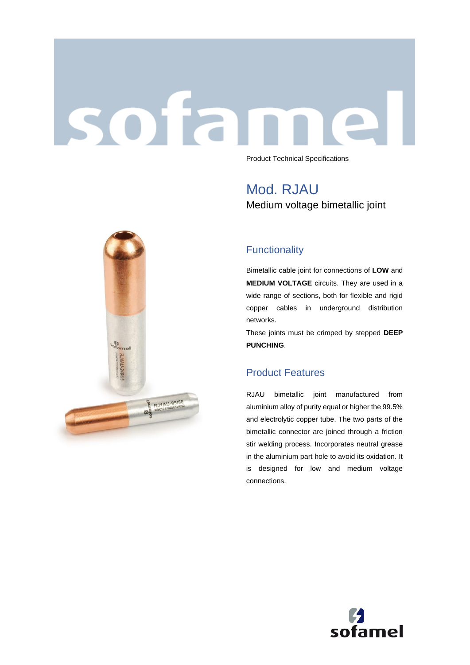# sofar Product Technical Specifications

Mod. RJAU

Medium voltage bimetallic joint



Bimetallic cable joint for connections of **LOW** and **MEDIUM VOLTAGE** circuits. They are used in a wide range of sections, both for flexible and rigid copper cables in underground distribution networks.

These joints must be crimped by stepped **DEEP PUNCHING**.

### Product Features

RJAU bimetallic joint manufactured from aluminium alloy of purity equal or higher the 99.5% and electrolytic copper tube. The two parts of the bimetallic connector are joined through a friction stir welding process. Incorporates neutral grease in the aluminium part hole to avoid its oxidation. It is designed for low and medium voltage connections.